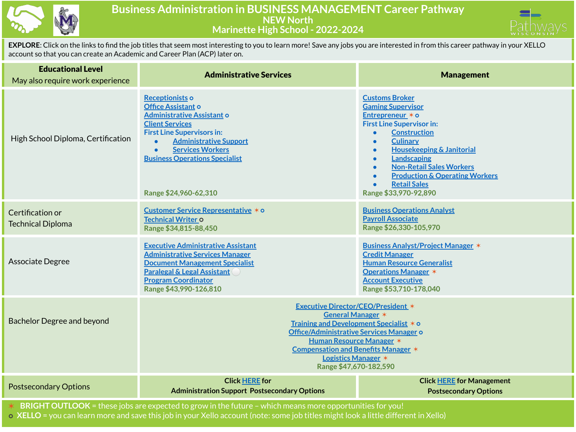

## **Business Administration in BUSINESS MANAGEMENT Career Pathway NEW North Marinette High School - 2022-2024**



**EXPLORE**: Click on the links to find the job titles that seem most interesting to you to learn more! Save any jobs you are interested in from this career pathway in your XELLO account so that you can create an Academic and Career Plan (ACP) later on.

| <b>Educational Level</b><br>May also require work experience                                             | <b>Administrative Services</b>                                                                                                                                                                                                                                                                 | <b>Management</b>                                                                                                                                                                                                                                                                                                                                                                                     |  |  |  |
|----------------------------------------------------------------------------------------------------------|------------------------------------------------------------------------------------------------------------------------------------------------------------------------------------------------------------------------------------------------------------------------------------------------|-------------------------------------------------------------------------------------------------------------------------------------------------------------------------------------------------------------------------------------------------------------------------------------------------------------------------------------------------------------------------------------------------------|--|--|--|
| High School Diploma, Certification                                                                       | Receptionists o<br>Office Assistant o<br><b>Administrative Assistant o</b><br><b>Client Services</b><br><b>First Line Supervisors in:</b><br><b>Administrative Support</b><br><b>Services Workers</b><br><b>Business Operations Specialist</b><br>Range \$24,960-62,310                        | <b>Customs Broker</b><br><b>Gaming Supervisor</b><br>Entrepreneur * o<br><b>First Line Supervisor in:</b><br><b>Construction</b><br><b>Culinary</b><br><b>Housekeeping &amp; Janitorial</b><br>$\bullet$<br><b>Landscaping</b><br>$\bullet$<br><b>Non-Retail Sales Workers</b><br>$\bullet$<br><b>Production &amp; Operating Workers</b><br>$\bullet$<br><b>Retail Sales</b><br>Range \$33,970-92,890 |  |  |  |
| Certification or<br><b>Technical Diploma</b>                                                             | Customer Service Representative * o<br>Technical Writer o<br>Range \$34,815-88,450                                                                                                                                                                                                             | <b>Business Operations Analyst</b><br><b>Payroll Associate</b><br>Range \$26,330-105,970                                                                                                                                                                                                                                                                                                              |  |  |  |
| Associate Degree                                                                                         | <b>Executive Administrative Assistant</b><br><b>Administrative Services Manager</b><br><b>Document Management Specialist</b><br><b>Paralegal &amp; Legal Assistant</b><br><b>Program Coordinator</b><br>Range \$43,990-126,810                                                                 | <b>Business Analyst/Project Manager *</b><br><b>Credit Manager</b><br><b>Human Resource Generalist</b><br><b>Operations Manager *</b><br><b>Account Executive</b><br>Range \$53,710-178,040                                                                                                                                                                                                           |  |  |  |
| <b>Bachelor Degree and beyond</b>                                                                        | <b>Executive Director/CEO/President *</b><br>General Manager *<br>Training and Development Specialist * o<br>Office/Administrative Services Manager o<br><b>Human Resource Manager *</b><br><b>Compensation and Benefits Manager *</b><br><b>Logistics Manager *</b><br>Range \$47,670-182,590 |                                                                                                                                                                                                                                                                                                                                                                                                       |  |  |  |
| <b>Postsecondary Options</b>                                                                             | <b>Click HERE for</b><br><b>Administration Support Postsecondary Options</b>                                                                                                                                                                                                                   | <b>Click HERE for Management</b><br><b>Postsecondary Options</b>                                                                                                                                                                                                                                                                                                                                      |  |  |  |
| BRIGHT OUTLOOK = these jobs are expected to grow in the future - which means more opportunities for you! |                                                                                                                                                                                                                                                                                                |                                                                                                                                                                                                                                                                                                                                                                                                       |  |  |  |

⭘ **XELLO** = you can learn more and save this job in your Xello account (note: some job titles might look a little different in Xello)